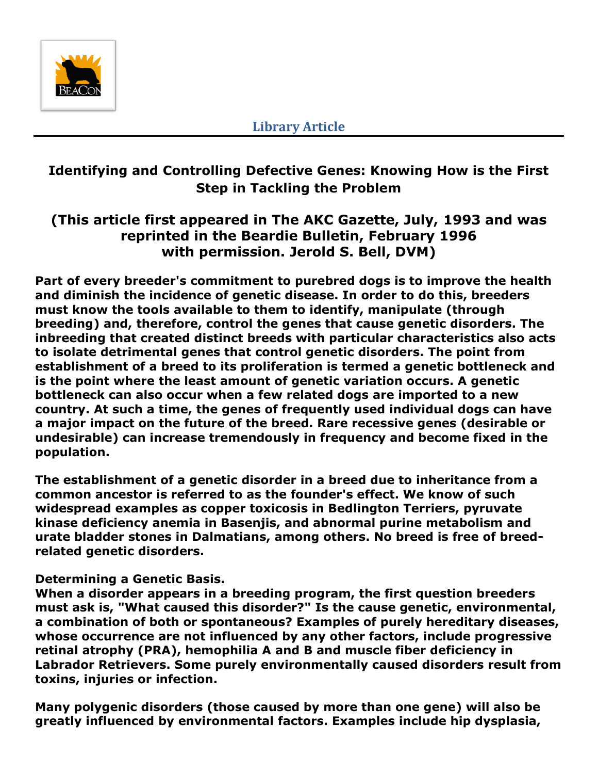

# **Identifying and Controlling Defective Genes: Knowing How is the First Step in Tackling the Problem**

# **(This article first appeared in The AKC Gazette, July, 1993 and was reprinted in the Beardie Bulletin, February 1996 with permission. Jerold S. Bell, DVM)**

**Part of every breeder's commitment to purebred dogs is to improve the health and diminish the incidence of genetic disease. In order to do this, breeders must know the tools available to them to identify, manipulate (through breeding) and, therefore, control the genes that cause genetic disorders. The inbreeding that created distinct breeds with particular characteristics also acts to isolate detrimental genes that control genetic disorders. The point from establishment of a breed to its proliferation is termed a genetic bottleneck and is the point where the least amount of genetic variation occurs. A genetic bottleneck can also occur when a few related dogs are imported to a new country. At such a time, the genes of frequently used individual dogs can have a major impact on the future of the breed. Rare recessive genes (desirable or undesirable) can increase tremendously in frequency and become fixed in the population.**

**The establishment of a genetic disorder in a breed due to inheritance from a common ancestor is referred to as the founder's effect. We know of such widespread examples as copper toxicosis in Bedlington Terriers, pyruvate kinase deficiency anemia in Basenjis, and abnormal purine metabolism and urate bladder stones in Dalmatians, among others. No breed is free of breedrelated genetic disorders.**

# **Determining a Genetic Basis.**

**When a disorder appears in a breeding program, the first question breeders must ask is, "What caused this disorder?" Is the cause genetic, environmental, a combination of both or spontaneous? Examples of purely hereditary diseases, whose occurrence are not influenced by any other factors, include progressive retinal atrophy (PRA), hemophilia A and B and muscle fiber deficiency in Labrador Retrievers. Some purely environmentally caused disorders result from toxins, injuries or infection.**

**Many polygenic disorders (those caused by more than one gene) will also be greatly influenced by environmental factors. Examples include hip dysplasia,**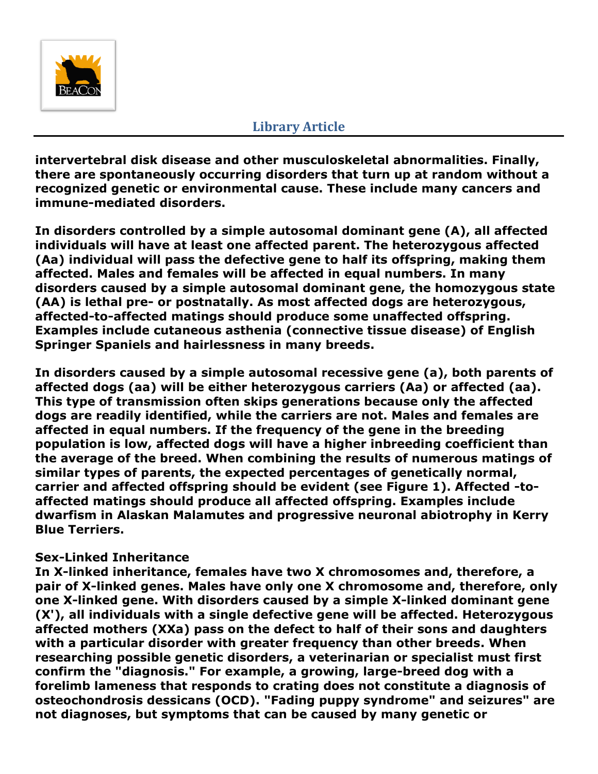

**intervertebral disk disease and other musculoskeletal abnormalities. Finally, there are spontaneously occurring disorders that turn up at random without a recognized genetic or environmental cause. These include many cancers and immune-mediated disorders.** 

**In disorders controlled by a simple autosomal dominant gene (A), all affected individuals will have at least one affected parent. The heterozygous affected (Aa) individual will pass the defective gene to half its offspring, making them affected. Males and females will be affected in equal numbers. In many disorders caused by a simple autosomal dominant gene, the homozygous state (AA) is lethal pre- or postnatally. As most affected dogs are heterozygous, affected-to-affected matings should produce some unaffected offspring. Examples include cutaneous asthenia (connective tissue disease) of English Springer Spaniels and hairlessness in many breeds.**

**In disorders caused by a simple autosomal recessive gene (a), both parents of affected dogs (aa) will be either heterozygous carriers (Aa) or affected (aa). This type of transmission often skips generations because only the affected dogs are readily identified, while the carriers are not. Males and females are affected in equal numbers. If the frequency of the gene in the breeding population is low, affected dogs will have a higher inbreeding coefficient than the average of the breed. When combining the results of numerous matings of similar types of parents, the expected percentages of genetically normal, carrier and affected offspring should be evident (see Figure 1). Affected -toaffected matings should produce all affected offspring. Examples include dwarfism in Alaskan Malamutes and progressive neuronal abiotrophy in Kerry Blue Terriers.**

# **Sex-Linked Inheritance**

**In X-linked inheritance, females have two X chromosomes and, therefore, a pair of X-linked genes. Males have only one X chromosome and, therefore, only one X-linked gene. With disorders caused by a simple X-linked dominant gene (X'), all individuals with a single defective gene will be affected. Heterozygous affected mothers (XXa) pass on the defect to half of their sons and daughters with a particular disorder with greater frequency than other breeds. When researching possible genetic disorders, a veterinarian or specialist must first confirm the "diagnosis." For example, a growing, large-breed dog with a forelimb lameness that responds to crating does not constitute a diagnosis of osteochondrosis dessicans (OCD). "Fading puppy syndrome" and seizures" are not diagnoses, but symptoms that can be caused by many genetic or**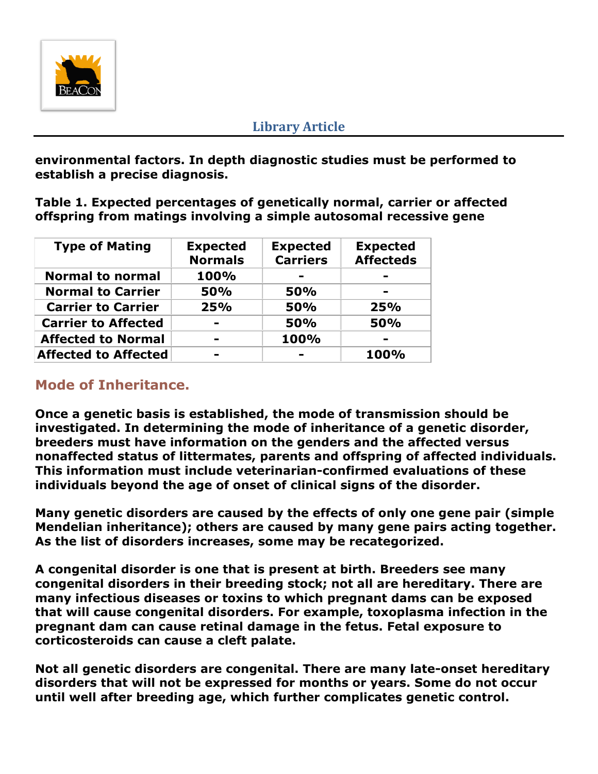

**environmental factors. In depth diagnostic studies must be performed to establish a precise diagnosis.**

**Table 1. Expected percentages of genetically normal, carrier or affected offspring from matings involving a simple autosomal recessive gene**

| <b>Type of Mating</b>       | <b>Expected</b><br><b>Normals</b> | <b>Expected</b><br><b>Carriers</b> | <b>Expected</b><br><b>Affecteds</b> |
|-----------------------------|-----------------------------------|------------------------------------|-------------------------------------|
| <b>Normal to normal</b>     | 100%                              |                                    |                                     |
| <b>Normal to Carrier</b>    | <b>50%</b>                        | 50%                                |                                     |
| <b>Carrier to Carrier</b>   | 25%                               | <b>50%</b>                         | 25%                                 |
| <b>Carrier to Affected</b>  | $\overline{\phantom{a}}$          | <b>50%</b>                         | <b>50%</b>                          |
| <b>Affected to Normal</b>   | $\blacksquare$                    | 100%                               |                                     |
| <b>Affected to Affected</b> |                                   |                                    | 100%                                |

# **Mode of Inheritance.**

**Once a genetic basis is established, the mode of transmission should be investigated. In determining the mode of inheritance of a genetic disorder, breeders must have information on the genders and the affected versus nonaffected status of littermates, parents and offspring of affected individuals. This information must include veterinarian-confirmed evaluations of these individuals beyond the age of onset of clinical signs of the disorder.**

**Many genetic disorders are caused by the effects of only one gene pair (simple Mendelian inheritance); others are caused by many gene pairs acting together. As the list of disorders increases, some may be recategorized.**

**A congenital disorder is one that is present at birth. Breeders see many congenital disorders in their breeding stock; not all are hereditary. There are many infectious diseases or toxins to which pregnant dams can be exposed that will cause congenital disorders. For example, toxoplasma infection in the pregnant dam can cause retinal damage in the fetus. Fetal exposure to corticosteroids can cause a cleft palate.**

**Not all genetic disorders are congenital. There are many late-onset hereditary disorders that will not be expressed for months or years. Some do not occur until well after breeding age, which further complicates genetic control.**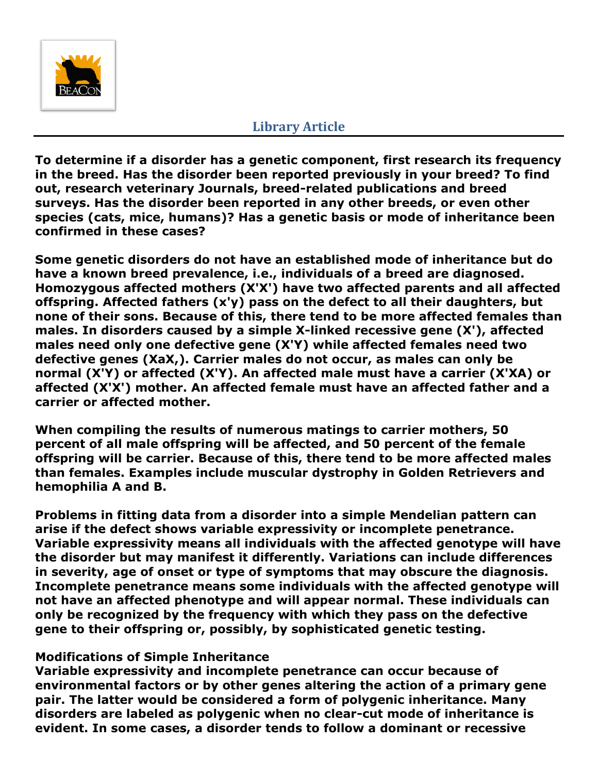

**To determine if a disorder has a genetic component, first research its frequency in the breed. Has the disorder been reported previously in your breed? To find out, research veterinary Journals, breed-related publications and breed surveys. Has the disorder been reported in any other breeds, or even other species (cats, mice, humans)? Has a genetic basis or mode of inheritance been confirmed in these cases?**

**Some genetic disorders do not have an established mode of inheritance but do have a known breed prevalence, i.e., individuals of a breed are diagnosed. Homozygous affected mothers (X'X') have two affected parents and all affected offspring. Affected fathers (x'y) pass on the defect to all their daughters, but none of their sons. Because of this, there tend to be more affected females than males. In disorders caused by a simple X-linked recessive gene (X'), affected males need only one defective gene (X'Y) while affected females need two defective genes (XaX,). Carrier males do not occur, as males can only be normal (X'Y) or affected (X'Y). An affected male must have a carrier (X'XA) or affected (X'X') mother. An affected female must have an affected father and a carrier or affected mother.**

**When compiling the results of numerous matings to carrier mothers, 50 percent of all male offspring will be affected, and 50 percent of the female offspring will be carrier. Because of this, there tend to be more affected males than females. Examples include muscular dystrophy in Golden Retrievers and hemophilia A and B.**

**Problems in fitting data from a disorder into a simple Mendelian pattern can arise if the defect shows variable expressivity or incomplete penetrance. Variable expressivity means all individuals with the affected genotype will have the disorder but may manifest it differently. Variations can include differences in severity, age of onset or type of symptoms that may obscure the diagnosis. Incomplete penetrance means some individuals with the affected genotype will not have an affected phenotype and will appear normal. These individuals can only be recognized by the frequency with which they pass on the defective gene to their offspring or, possibly, by sophisticated genetic testing.**

# **Modifications of Simple Inheritance**

**Variable expressivity and incomplete penetrance can occur because of environmental factors or by other genes altering the action of a primary gene pair. The latter would be considered a form of polygenic inheritance. Many disorders are labeled as polygenic when no clear-cut mode of inheritance is evident. In some cases, a disorder tends to follow a dominant or recessive**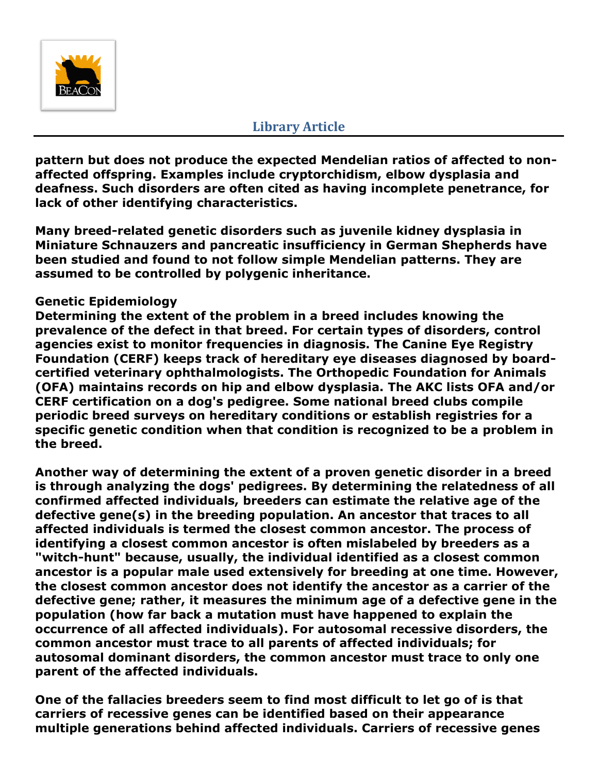

**pattern but does not produce the expected Mendelian ratios of affected to nonaffected offspring. Examples include cryptorchidism, elbow dysplasia and deafness. Such disorders are often cited as having incomplete penetrance, for lack of other identifying characteristics.**

**Many breed-related genetic disorders such as juvenile kidney dysplasia in Miniature Schnauzers and pancreatic insufficiency in German Shepherds have been studied and found to not follow simple Mendelian patterns. They are assumed to be controlled by polygenic inheritance.**

# **Genetic Epidemiology**

**Determining the extent of the problem in a breed includes knowing the prevalence of the defect in that breed. For certain types of disorders, control agencies exist to monitor frequencies in diagnosis. The Canine Eye Registry Foundation (CERF) keeps track of hereditary eye diseases diagnosed by boardcertified veterinary ophthalmologists. The Orthopedic Foundation for Animals (OFA) maintains records on hip and elbow dysplasia. The AKC lists OFA and/or CERF certification on a dog's pedigree. Some national breed clubs compile periodic breed surveys on hereditary conditions or establish registries for a specific genetic condition when that condition is recognized to be a problem in the breed.**

**Another way of determining the extent of a proven genetic disorder in a breed is through analyzing the dogs' pedigrees. By determining the relatedness of all confirmed affected individuals, breeders can estimate the relative age of the defective gene(s) in the breeding population. An ancestor that traces to all affected individuals is termed the closest common ancestor. The process of identifying a closest common ancestor is often mislabeled by breeders as a "witch-hunt" because, usually, the individual identified as a closest common ancestor is a popular male used extensively for breeding at one time. However, the closest common ancestor does not identify the ancestor as a carrier of the defective gene; rather, it measures the minimum age of a defective gene in the population (how far back a mutation must have happened to explain the occurrence of all affected individuals). For autosomal recessive disorders, the common ancestor must trace to all parents of affected individuals; for autosomal dominant disorders, the common ancestor must trace to only one parent of the affected individuals.**

**One of the fallacies breeders seem to find most difficult to let go of is that carriers of recessive genes can be identified based on their appearance multiple generations behind affected individuals. Carriers of recessive genes**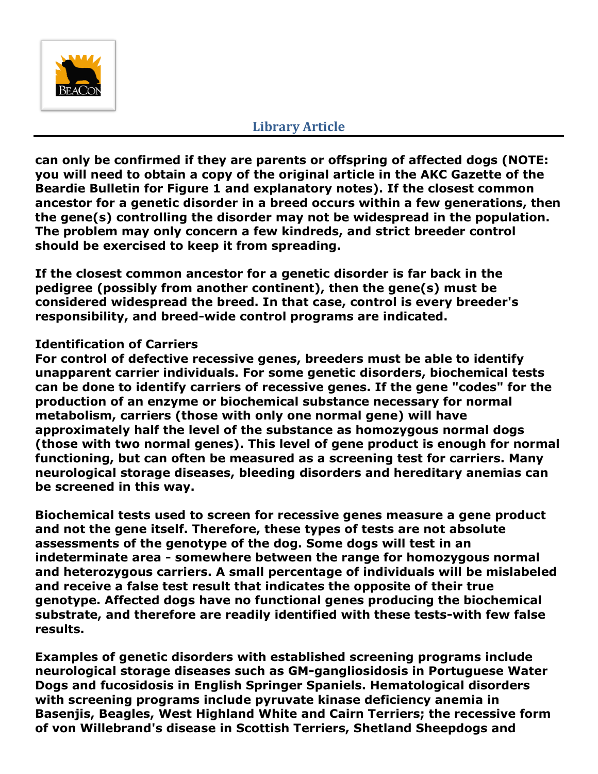

**can only be confirmed if they are parents or offspring of affected dogs (NOTE: you will need to obtain a copy of the original article in the AKC Gazette of the Beardie Bulletin for Figure 1 and explanatory notes). If the closest common ancestor for a genetic disorder in a breed occurs within a few generations, then the gene(s) controlling the disorder may not be widespread in the population. The problem may only concern a few kindreds, and strict breeder control should be exercised to keep it from spreading.**

**If the closest common ancestor for a genetic disorder is far back in the pedigree (possibly from another continent), then the gene(s) must be considered widespread the breed. In that case, control is every breeder's responsibility, and breed-wide control programs are indicated.**

# **Identification of Carriers**

**For control of defective recessive genes, breeders must be able to identify unapparent carrier individuals. For some genetic disorders, biochemical tests can be done to identify carriers of recessive genes. If the gene "codes" for the production of an enzyme or biochemical substance necessary for normal metabolism, carriers (those with only one normal gene) will have approximately half the level of the substance as homozygous normal dogs (those with two normal genes). This level of gene product is enough for normal functioning, but can often be measured as a screening test for carriers. Many neurological storage diseases, bleeding disorders and hereditary anemias can be screened in this way.**

**Biochemical tests used to screen for recessive genes measure a gene product and not the gene itself. Therefore, these types of tests are not absolute assessments of the genotype of the dog. Some dogs will test in an indeterminate area - somewhere between the range for homozygous normal and heterozygous carriers. A small percentage of individuals will be mislabeled and receive a false test result that indicates the opposite of their true genotype. Affected dogs have no functional genes producing the biochemical substrate, and therefore are readily identified with these tests-with few false results.**

**Examples of genetic disorders with established screening programs include neurological storage diseases such as GM-gangliosidosis in Portuguese Water Dogs and fucosidosis in English Springer Spaniels. Hematological disorders with screening programs include pyruvate kinase deficiency anemia in Basenjis, Beagles, West Highland White and Cairn Terriers; the recessive form of von Willebrand's disease in Scottish Terriers, Shetland Sheepdogs and**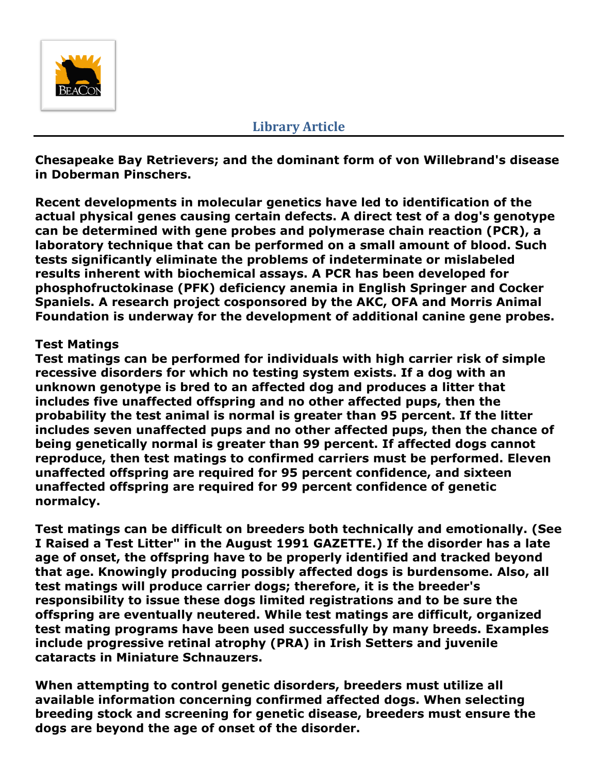

**Chesapeake Bay Retrievers; and the dominant form of von Willebrand's disease in Doberman Pinschers.**

**Recent developments in molecular genetics have led to identification of the actual physical genes causing certain defects. A direct test of a dog's genotype can be determined with gene probes and polymerase chain reaction (PCR), a laboratory technique that can be performed on a small amount of blood. Such tests significantly eliminate the problems of indeterminate or mislabeled results inherent with biochemical assays. A PCR has been developed for phosphofructokinase (PFK) deficiency anemia in English Springer and Cocker Spaniels. A research project cosponsored by the AKC, OFA and Morris Animal Foundation is underway for the development of additional canine gene probes.**

#### **Test Matings**

**Test matings can be performed for individuals with high carrier risk of simple recessive disorders for which no testing system exists. If a dog with an unknown genotype is bred to an affected dog and produces a litter that includes five unaffected offspring and no other affected pups, then the probability the test animal is normal is greater than 95 percent. If the litter includes seven unaffected pups and no other affected pups, then the chance of being genetically normal is greater than 99 percent. If affected dogs cannot reproduce, then test matings to confirmed carriers must be performed. Eleven unaffected offspring are required for 95 percent confidence, and sixteen unaffected offspring are required for 99 percent confidence of genetic normalcy.**

**Test matings can be difficult on breeders both technically and emotionally. (See I Raised a Test Litter" in the August 1991 GAZETTE.) If the disorder has a late age of onset, the offspring have to be properly identified and tracked beyond that age. Knowingly producing possibly affected dogs is burdensome. Also, all test matings will produce carrier dogs; therefore, it is the breeder's responsibility to issue these dogs limited registrations and to be sure the offspring are eventually neutered. While test matings are difficult, organized test mating programs have been used successfully by many breeds. Examples include progressive retinal atrophy (PRA) in Irish Setters and juvenile cataracts in Miniature Schnauzers.**

**When attempting to control genetic disorders, breeders must utilize all available information concerning confirmed affected dogs. When selecting breeding stock and screening for genetic disease, breeders must ensure the dogs are beyond the age of onset of the disorder.**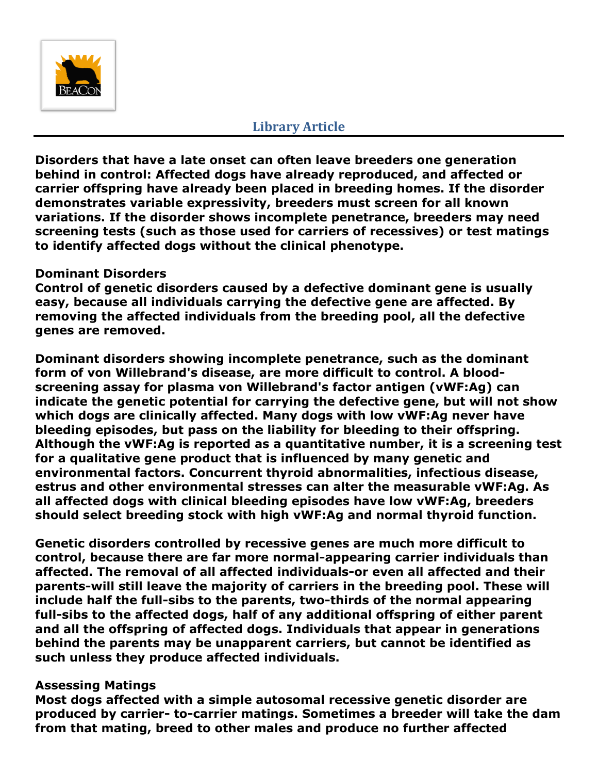

**Disorders that have a late onset can often leave breeders one generation behind in control: Affected dogs have already reproduced, and affected or carrier offspring have already been placed in breeding homes. If the disorder demonstrates variable expressivity, breeders must screen for all known variations. If the disorder shows incomplete penetrance, breeders may need screening tests (such as those used for carriers of recessives) or test matings to identify affected dogs without the clinical phenotype.**

#### **Dominant Disorders**

**Control of genetic disorders caused by a defective dominant gene is usually easy, because all individuals carrying the defective gene are affected. By removing the affected individuals from the breeding pool, all the defective genes are removed.**

**Dominant disorders showing incomplete penetrance, such as the dominant form of von Willebrand's disease, are more difficult to control. A bloodscreening assay for plasma von Willebrand's factor antigen (vWF:Ag) can indicate the genetic potential for carrying the defective gene, but will not show which dogs are clinically affected. Many dogs with low vWF:Ag never have bleeding episodes, but pass on the liability for bleeding to their offspring. Although the vWF:Ag is reported as a quantitative number, it is a screening test for a qualitative gene product that is influenced by many genetic and environmental factors. Concurrent thyroid abnormalities, infectious disease, estrus and other environmental stresses can alter the measurable vWF:Ag. As all affected dogs with clinical bleeding episodes have low vWF:Ag, breeders should select breeding stock with high vWF:Ag and normal thyroid function.**

**Genetic disorders controlled by recessive genes are much more difficult to control, because there are far more normal-appearing carrier individuals than affected. The removal of all affected individuals-or even all affected and their parents-will still leave the majority of carriers in the breeding pool. These will include half the full-sibs to the parents, two-thirds of the normal appearing full-sibs to the affected dogs, half of any additional offspring of either parent and all the offspring of affected dogs. Individuals that appear in generations behind the parents may be unapparent carriers, but cannot be identified as such unless they produce affected individuals.**

#### **Assessing Matings**

**Most dogs affected with a simple autosomal recessive genetic disorder are produced by carrier- to-carrier matings. Sometimes a breeder will take the dam from that mating, breed to other males and produce no further affected**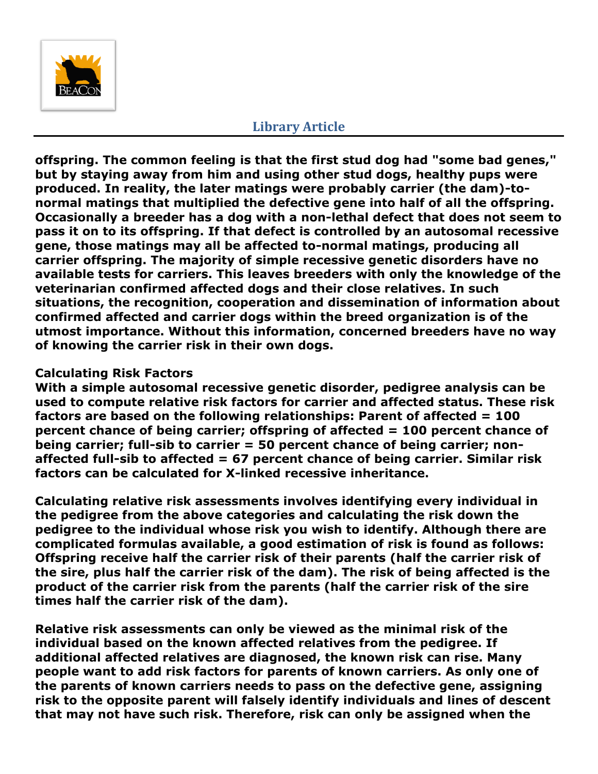

**offspring. The common feeling is that the first stud dog had "some bad genes," but by staying away from him and using other stud dogs, healthy pups were produced. In reality, the later matings were probably carrier (the dam)-tonormal matings that multiplied the defective gene into half of all the offspring. Occasionally a breeder has a dog with a non-lethal defect that does not seem to pass it on to its offspring. If that defect is controlled by an autosomal recessive gene, those matings may all be affected to-normal matings, producing all carrier offspring. The majority of simple recessive genetic disorders have no available tests for carriers. This leaves breeders with only the knowledge of the veterinarian confirmed affected dogs and their close relatives. In such situations, the recognition, cooperation and dissemination of information about confirmed affected and carrier dogs within the breed organization is of the utmost importance. Without this information, concerned breeders have no way of knowing the carrier risk in their own dogs.**

# **Calculating Risk Factors**

**With a simple autosomal recessive genetic disorder, pedigree analysis can be used to compute relative risk factors for carrier and affected status. These risk factors are based on the following relationships: Parent of affected = 100 percent chance of being carrier; offspring of affected = 100 percent chance of being carrier; full-sib to carrier = 50 percent chance of being carrier; nonaffected full-sib to affected = 67 percent chance of being carrier. Similar risk factors can be calculated for X-linked recessive inheritance.**

**Calculating relative risk assessments involves identifying every individual in the pedigree from the above categories and calculating the risk down the pedigree to the individual whose risk you wish to identify. Although there are complicated formulas available, a good estimation of risk is found as follows: Offspring receive half the carrier risk of their parents (half the carrier risk of the sire, plus half the carrier risk of the dam). The risk of being affected is the product of the carrier risk from the parents (half the carrier risk of the sire times half the carrier risk of the dam).**

**Relative risk assessments can only be viewed as the minimal risk of the individual based on the known affected relatives from the pedigree. If additional affected relatives are diagnosed, the known risk can rise. Many people want to add risk factors for parents of known carriers. As only one of the parents of known carriers needs to pass on the defective gene, assigning risk to the opposite parent will falsely identify individuals and lines of descent that may not have such risk. Therefore, risk can only be assigned when the**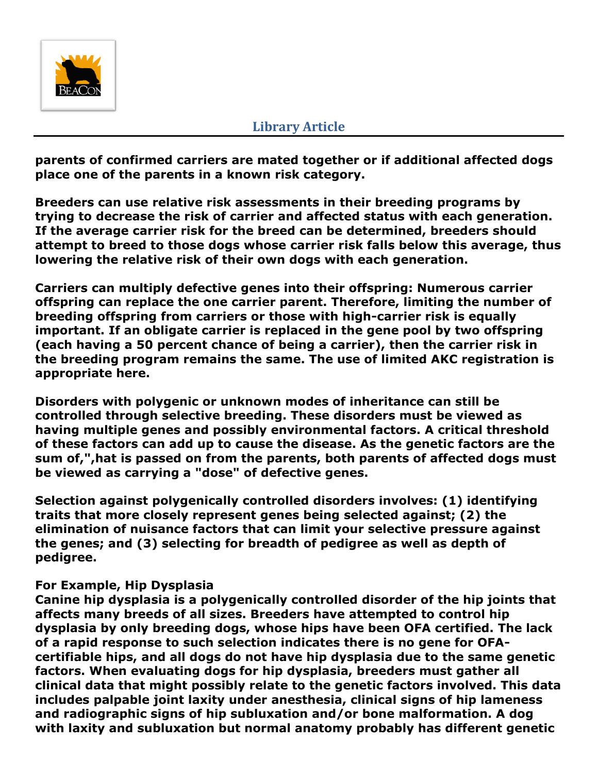

**parents of confirmed carriers are mated together or if additional affected dogs place one of the parents in a known risk category.**

**Breeders can use relative risk assessments in their breeding programs by trying to decrease the risk of carrier and affected status with each generation. If the average carrier risk for the breed can be determined, breeders should attempt to breed to those dogs whose carrier risk falls below this average, thus lowering the relative risk of their own dogs with each generation.**

**Carriers can multiply defective genes into their offspring: Numerous carrier offspring can replace the one carrier parent. Therefore, limiting the number of breeding offspring from carriers or those with high-carrier risk is equally important. If an obligate carrier is replaced in the gene pool by two offspring (each having a 50 percent chance of being a carrier), then the carrier risk in the breeding program remains the same. The use of limited AKC registration is appropriate here.**

**Disorders with polygenic or unknown modes of inheritance can still be controlled through selective breeding. These disorders must be viewed as having multiple genes and possibly environmental factors. A critical threshold of these factors can add up to cause the disease. As the genetic factors are the sum of,",hat is passed on from the parents, both parents of affected dogs must be viewed as carrying a "dose" of defective genes.**

**Selection against polygenically controlled disorders involves: (1) identifying traits that more closely represent genes being selected against; (2) the elimination of nuisance factors that can limit your selective pressure against the genes; and (3) selecting for breadth of pedigree as well as depth of pedigree.**

# **For Example, Hip Dysplasia**

**Canine hip dysplasia is a polygenically controlled disorder of the hip joints that affects many breeds of all sizes. Breeders have attempted to control hip dysplasia by only breeding dogs, whose hips have been OFA certified. The lack of a rapid response to such selection indicates there is no gene for OFAcertifiable hips, and all dogs do not have hip dysplasia due to the same genetic factors. When evaluating dogs for hip dysplasia, breeders must gather all clinical data that might possibly relate to the genetic factors involved. This data includes palpable joint laxity under anesthesia, clinical signs of hip lameness and radiographic signs of hip subluxation and/or bone malformation. A dog with laxity and subluxation but normal anatomy probably has different genetic**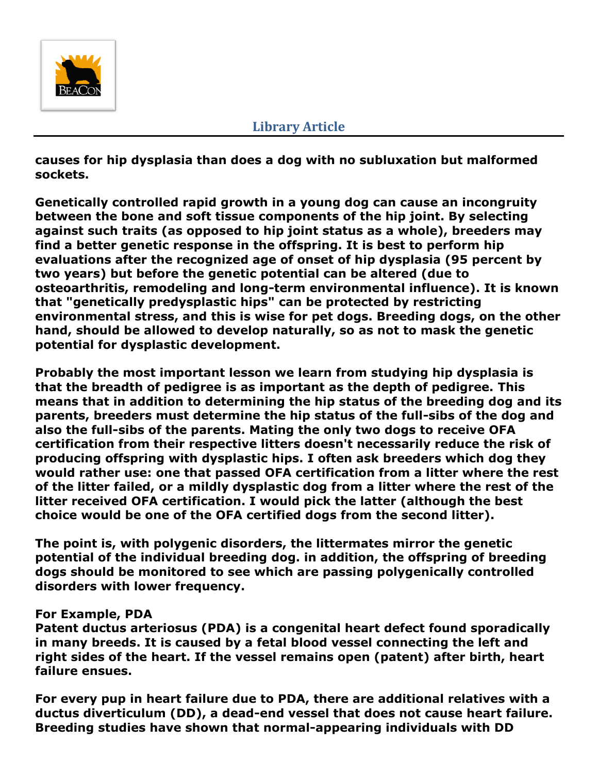

**causes for hip dysplasia than does a dog with no subluxation but malformed sockets.**

**Genetically controlled rapid growth in a young dog can cause an incongruity between the bone and soft tissue components of the hip joint. By selecting against such traits (as opposed to hip joint status as a whole), breeders may find a better genetic response in the offspring. It is best to perform hip evaluations after the recognized age of onset of hip dysplasia (95 percent by two years) but before the genetic potential can be altered (due to osteoarthritis, remodeling and long-term environmental influence). It is known that "genetically predysplastic hips" can be protected by restricting environmental stress, and this is wise for pet dogs. Breeding dogs, on the other hand, should be allowed to develop naturally, so as not to mask the genetic potential for dysplastic development.**

**Probably the most important lesson we learn from studying hip dysplasia is that the breadth of pedigree is as important as the depth of pedigree. This means that in addition to determining the hip status of the breeding dog and its parents, breeders must determine the hip status of the full-sibs of the dog and also the full-sibs of the parents. Mating the only two dogs to receive OFA certification from their respective litters doesn't necessarily reduce the risk of producing offspring with dysplastic hips. I often ask breeders which dog they would rather use: one that passed OFA certification from a litter where the rest of the litter failed, or a mildly dysplastic dog from a litter where the rest of the litter received OFA certification. I would pick the latter (although the best choice would be one of the OFA certified dogs from the second litter).**

**The point is, with polygenic disorders, the littermates mirror the genetic potential of the individual breeding dog. in addition, the offspring of breeding dogs should be monitored to see which are passing polygenically controlled disorders with lower frequency.**

#### **For Example, PDA**

**Patent ductus arteriosus (PDA) is a congenital heart defect found sporadically in many breeds. It is caused by a fetal blood vessel connecting the left and right sides of the heart. If the vessel remains open (patent) after birth, heart failure ensues.**

**For every pup in heart failure due to PDA, there are additional relatives with a ductus diverticulum (DD), a dead-end vessel that does not cause heart failure. Breeding studies have shown that normal-appearing individuals with DD**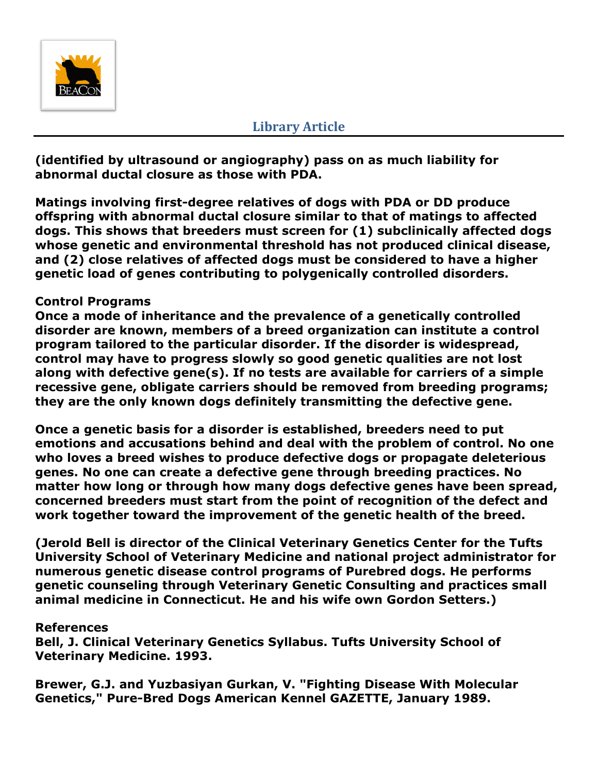

**(identified by ultrasound or angiography) pass on as much liability for abnormal ductal closure as those with PDA.**

**Matings involving first-degree relatives of dogs with PDA or DD produce offspring with abnormal ductal closure similar to that of matings to affected dogs. This shows that breeders must screen for (1) subclinically affected dogs whose genetic and environmental threshold has not produced clinical disease, and (2) close relatives of affected dogs must be considered to have a higher genetic load of genes contributing to polygenically controlled disorders.**

# **Control Programs**

**Once a mode of inheritance and the prevalence of a genetically controlled disorder are known, members of a breed organization can institute a control program tailored to the particular disorder. If the disorder is widespread, control may have to progress slowly so good genetic qualities are not lost along with defective gene(s). If no tests are available for carriers of a simple recessive gene, obligate carriers should be removed from breeding programs; they are the only known dogs definitely transmitting the defective gene.**

**Once a genetic basis for a disorder is established, breeders need to put emotions and accusations behind and deal with the problem of control. No one who loves a breed wishes to produce defective dogs or propagate deleterious genes. No one can create a defective gene through breeding practices. No matter how long or through how many dogs defective genes have been spread, concerned breeders must start from the point of recognition of the defect and work together toward the improvement of the genetic health of the breed.**

**(Jerold Bell is director of the Clinical Veterinary Genetics Center for the Tufts University School of Veterinary Medicine and national project administrator for numerous genetic disease control programs of Purebred dogs. He performs genetic counseling through Veterinary Genetic Consulting and practices small animal medicine in Connecticut. He and his wife own Gordon Setters.)**

#### **References**

**Bell, J. Clinical Veterinary Genetics Syllabus. Tufts University School of Veterinary Medicine. 1993.**

**Brewer, G.J. and Yuzbasiyan Gurkan, V. "Fighting Disease With Molecular Genetics," Pure-Bred Dogs American Kennel GAZETTE, January 1989.**